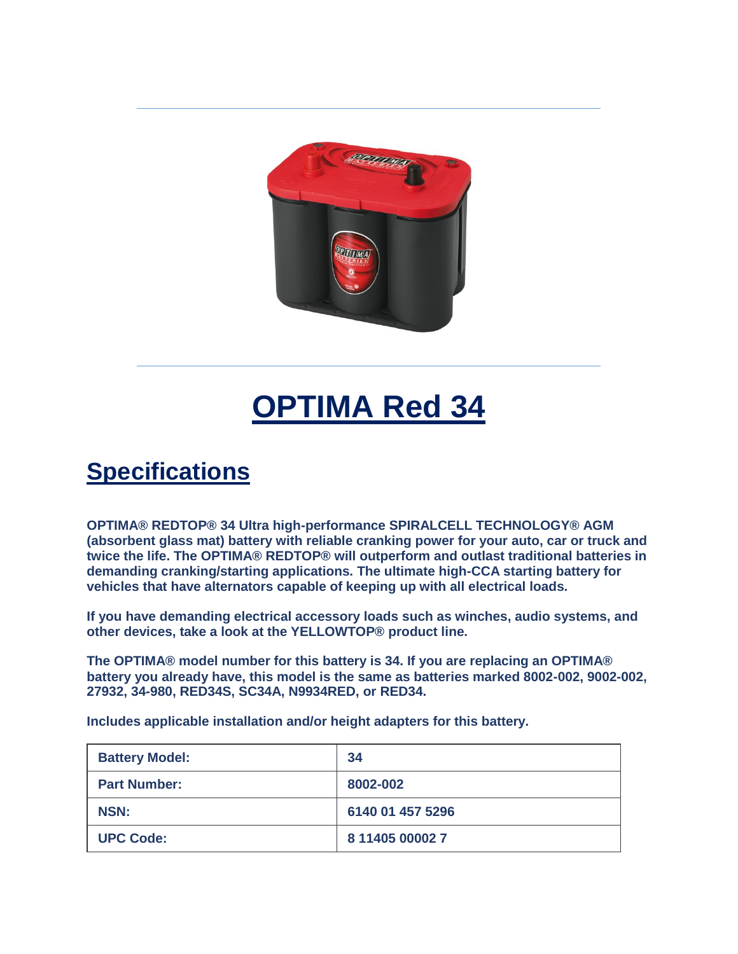

## **OPTIMA Red 34**

## **Specifications**

**OPTIMA® REDTOP® 34 Ultra high-performance SPIRALCELL TECHNOLOGY® AGM (absorbent glass mat) battery with reliable cranking power for your auto, car or truck and twice the life. The OPTIMA® REDTOP® will outperform and outlast traditional batteries in demanding cranking/starting applications. The ultimate high-CCA starting battery for vehicles that have alternators capable of keeping up with all electrical loads.**

**If you have demanding electrical accessory loads such as winches, audio systems, and other devices, take a look at the YELLOWTOP® product line.**

**The OPTIMA® model number for this battery is 34. If you are replacing an OPTIMA® battery you already have, this model is the same as batteries marked 8002-002, 9002-002, 27932, 34-980, RED34S, SC34A, N9934RED, or RED34.**

**Includes applicable installation and/or height adapters for this battery.**

| <b>Battery Model:</b> | 34               |
|-----------------------|------------------|
| <b>Part Number:</b>   | 8002-002         |
| <b>NSN:</b>           | 6140 01 457 5296 |
| <b>UPC Code:</b>      | 8 11405 00002 7  |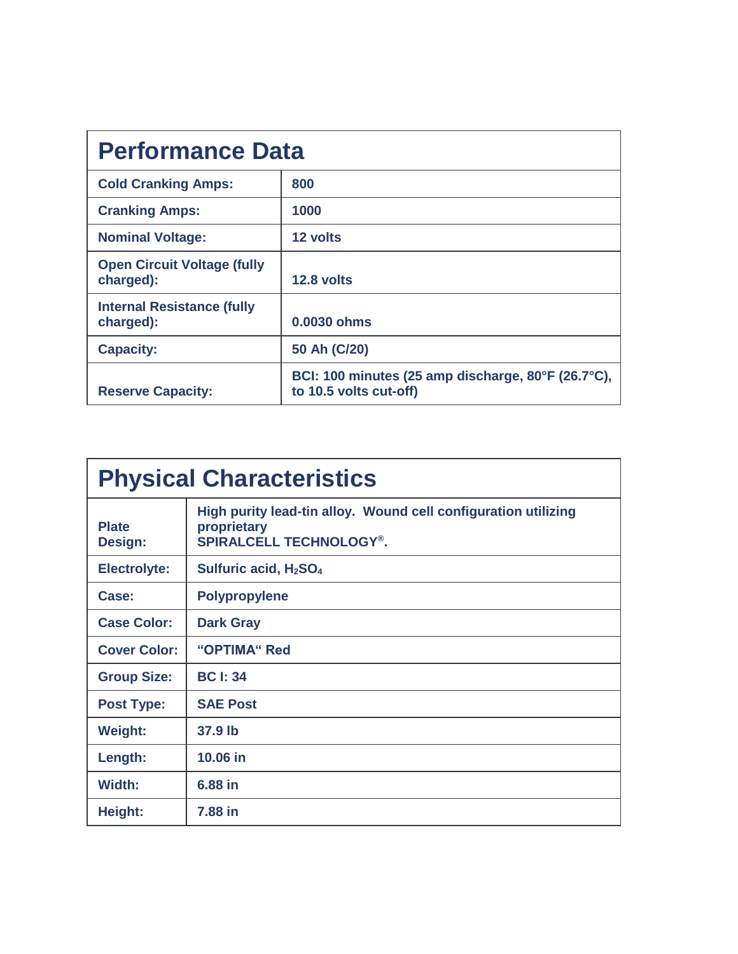| <b>Performance Data</b>                         |                                                                              |  |
|-------------------------------------------------|------------------------------------------------------------------------------|--|
| <b>Cold Cranking Amps:</b>                      | 800                                                                          |  |
| <b>Cranking Amps:</b>                           | 1000                                                                         |  |
| <b>Nominal Voltage:</b>                         | 12 volts                                                                     |  |
| <b>Open Circuit Voltage (fully</b><br>charged): | 12.8 volts                                                                   |  |
| <b>Internal Resistance (fully</b><br>charged):  | 0.0030 ohms                                                                  |  |
| <b>Capacity:</b>                                | 50 Ah (C/20)                                                                 |  |
| <b>Reserve Capacity:</b>                        | BCI: 100 minutes (25 amp discharge, 80°F (26.7°C),<br>to 10.5 volts cut-off) |  |

| <b>Physical Characteristics</b> |                                                                                                                 |  |
|---------------------------------|-----------------------------------------------------------------------------------------------------------------|--|
| <b>Plate</b><br>Design:         | High purity lead-tin alloy. Wound cell configuration utilizing<br>proprietary<br><b>SPIRALCELL TECHNOLOGY®.</b> |  |
| <b>Electrolyte:</b>             | Sulfuric acid, H <sub>2</sub> SO <sub>4</sub>                                                                   |  |
| Case:                           | <b>Polypropylene</b>                                                                                            |  |
| <b>Case Color:</b>              | <b>Dark Gray</b>                                                                                                |  |
| <b>Cover Color:</b>             | "OPTIMA" Red                                                                                                    |  |
| <b>Group Size:</b>              | <b>BC I: 34</b>                                                                                                 |  |
| <b>Post Type:</b>               | <b>SAE Post</b>                                                                                                 |  |
| <b>Weight:</b>                  | 37.9 lb                                                                                                         |  |
| Length:                         | 10.06 in                                                                                                        |  |
| Width:                          | 6.88 in                                                                                                         |  |
| Height:                         | 7.88 in                                                                                                         |  |